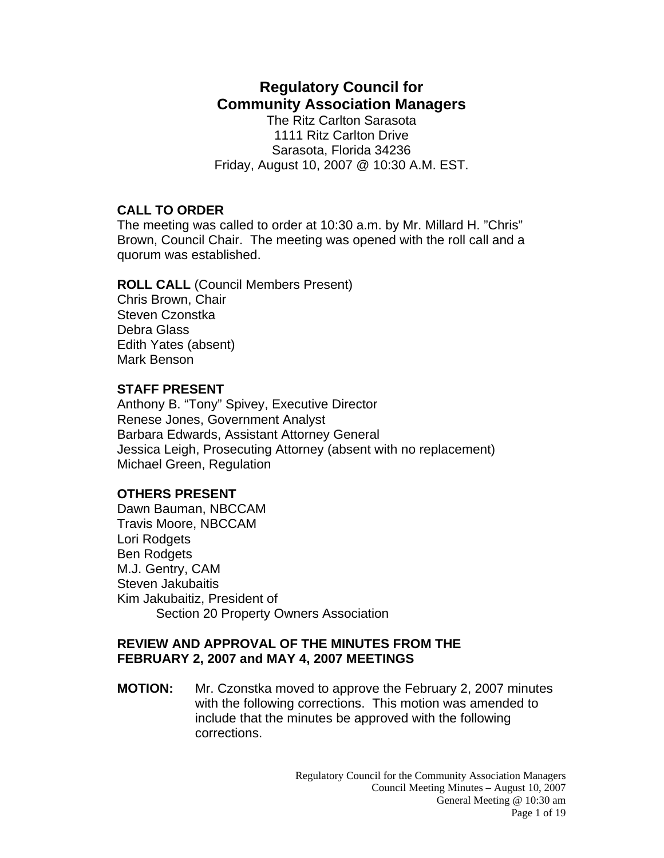# **Regulatory Council for Community Association Managers**

The Ritz Carlton Sarasota 1111 Ritz Carlton Drive Sarasota, Florida 34236 Friday, August 10, 2007 @ 10:30 A.M. EST.

## **CALL TO ORDER**

The meeting was called to order at 10:30 a.m. by Mr. Millard H. "Chris" Brown, Council Chair. The meeting was opened with the roll call and a quorum was established.

# **ROLL CALL** (Council Members Present)

Chris Brown, Chair Steven Czonstka Debra Glass Edith Yates (absent) Mark Benson

# **STAFF PRESENT**

Anthony B. "Tony" Spivey, Executive Director Renese Jones, Government Analyst Barbara Edwards, Assistant Attorney General Jessica Leigh, Prosecuting Attorney (absent with no replacement) Michael Green, Regulation

# **OTHERS PRESENT**

Dawn Bauman, NBCCAM Travis Moore, NBCCAM Lori Rodgets Ben Rodgets M.J. Gentry, CAM Steven Jakubaitis Kim Jakubaitiz, President of Section 20 Property Owners Association

### **REVIEW AND APPROVAL OF THE MINUTES FROM THE FEBRUARY 2, 2007 and MAY 4, 2007 MEETINGS**

**MOTION:** Mr. Czonstka moved to approve the February 2, 2007 minutes with the following corrections. This motion was amended to include that the minutes be approved with the following corrections.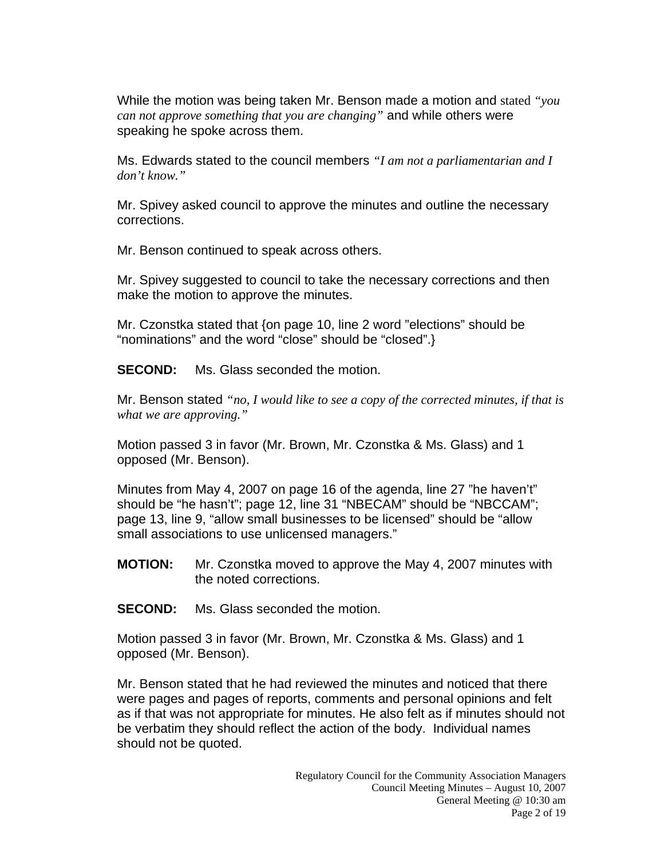While the motion was being taken Mr. Benson made a motion and stated *"you can not approve something that you are changing"* and while others were speaking he spoke across them.

Ms. Edwards stated to the council members *"I am not a parliamentarian and I don't know."* 

Mr. Spivey asked council to approve the minutes and outline the necessary corrections.

Mr. Benson continued to speak across others.

Mr. Spivey suggested to council to take the necessary corrections and then make the motion to approve the minutes.

Mr. Czonstka stated that {on page 10, line 2 word "elections" should be "nominations" and the word "close" should be "closed".}

**SECOND:** Ms. Glass seconded the motion.

Mr. Benson stated *"no, I would like to see a copy of the corrected minutes, if that is what we are approving."* 

Motion passed 3 in favor (Mr. Brown, Mr. Czonstka & Ms. Glass) and 1 opposed (Mr. Benson).

Minutes from May 4, 2007 on page 16 of the agenda, line 27 "he haven't" should be "he hasn't"; page 12, line 31 "NBECAM" should be "NBCCAM"; page 13, line 9, "allow small businesses to be licensed" should be "allow small associations to use unlicensed managers."

- **MOTION:** Mr. Czonstka moved to approve the May 4, 2007 minutes with the noted corrections.
- **SECOND:** Ms. Glass seconded the motion.

Motion passed 3 in favor (Mr. Brown, Mr. Czonstka & Ms. Glass) and 1 opposed (Mr. Benson).

Mr. Benson stated that he had reviewed the minutes and noticed that there were pages and pages of reports, comments and personal opinions and felt as if that was not appropriate for minutes. He also felt as if minutes should not be verbatim they should reflect the action of the body. Individual names should not be quoted.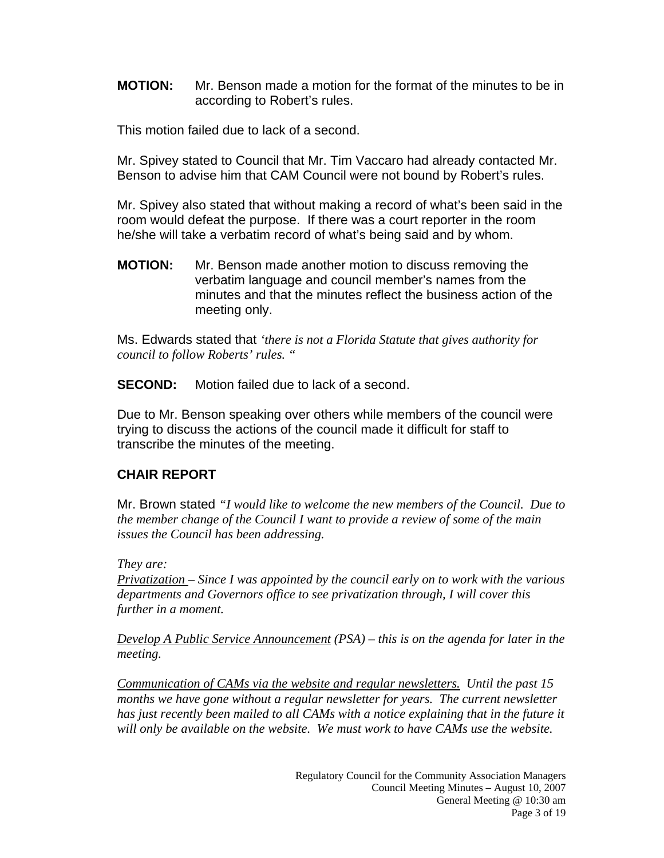**MOTION:** Mr. Benson made a motion for the format of the minutes to be in according to Robert's rules.

This motion failed due to lack of a second.

Mr. Spivey stated to Council that Mr. Tim Vaccaro had already contacted Mr. Benson to advise him that CAM Council were not bound by Robert's rules.

Mr. Spivey also stated that without making a record of what's been said in the room would defeat the purpose. If there was a court reporter in the room he/she will take a verbatim record of what's being said and by whom.

**MOTION:** Mr. Benson made another motion to discuss removing the verbatim language and council member's names from the minutes and that the minutes reflect the business action of the meeting only.

Ms. Edwards stated that *'there is not a Florida Statute that gives authority for council to follow Roberts' rules. "*

**SECOND:** Motion failed due to lack of a second.

Due to Mr. Benson speaking over others while members of the council were trying to discuss the actions of the council made it difficult for staff to transcribe the minutes of the meeting.

### **CHAIR REPORT**

Mr. Brown stated *"I would like to welcome the new members of the Council. Due to the member change of the Council I want to provide a review of some of the main issues the Council has been addressing.* 

*They are:* 

*Privatization – Since I was appointed by the council early on to work with the various departments and Governors office to see privatization through, I will cover this further in a moment.* 

*Develop A Public Service Announcement (PSA) – this is on the agenda for later in the meeting.* 

*Communication of CAMs via the website and regular newsletters. Until the past 15 months we have gone without a regular newsletter for years. The current newsletter has just recently been mailed to all CAMs with a notice explaining that in the future it will only be available on the website. We must work to have CAMs use the website.*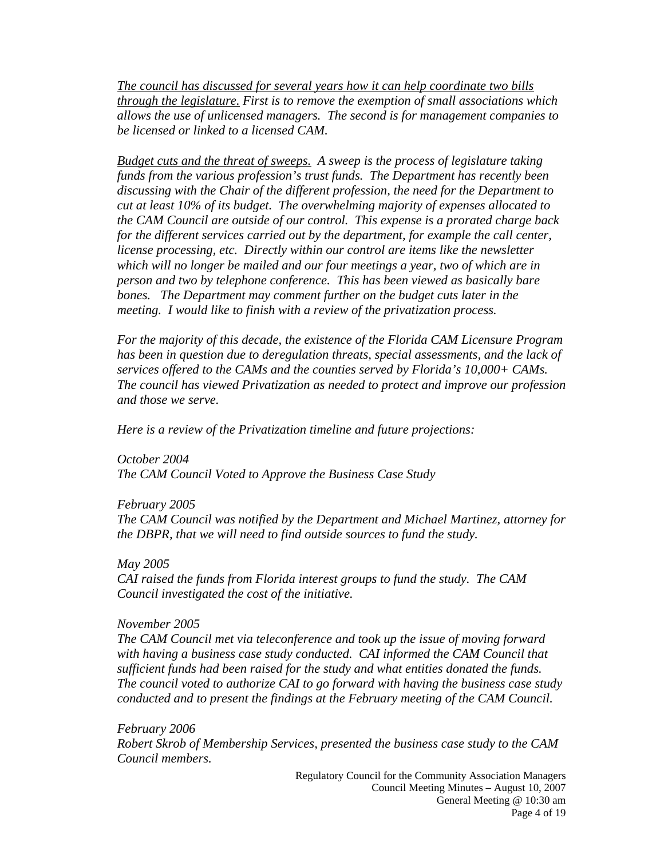*The council has discussed for several years how it can help coordinate two bills through the legislature. First is to remove the exemption of small associations which allows the use of unlicensed managers. The second is for management companies to be licensed or linked to a licensed CAM.* 

*Budget cuts and the threat of sweeps. A sweep is the process of legislature taking funds from the various profession's trust funds. The Department has recently been discussing with the Chair of the different profession, the need for the Department to cut at least 10% of its budget. The overwhelming majority of expenses allocated to the CAM Council are outside of our control. This expense is a prorated charge back for the different services carried out by the department, for example the call center, license processing, etc. Directly within our control are items like the newsletter which will no longer be mailed and our four meetings a year, two of which are in person and two by telephone conference. This has been viewed as basically bare bones. The Department may comment further on the budget cuts later in the meeting. I would like to finish with a review of the privatization process.* 

*For the majority of this decade, the existence of the Florida CAM Licensure Program has been in question due to deregulation threats, special assessments, and the lack of services offered to the CAMs and the counties served by Florida's 10,000+ CAMs. The council has viewed Privatization as needed to protect and improve our profession and those we serve.* 

*Here is a review of the Privatization timeline and future projections:* 

*October 2004 The CAM Council Voted to Approve the Business Case Study* 

*February 2005 The CAM Council was notified by the Department and Michael Martinez, attorney for the DBPR, that we will need to find outside sources to fund the study.* 

*May 2005 CAI raised the funds from Florida interest groups to fund the study. The CAM Council investigated the cost of the initiative.* 

*November 2005* 

*The CAM Council met via teleconference and took up the issue of moving forward with having a business case study conducted. CAI informed the CAM Council that sufficient funds had been raised for the study and what entities donated the funds. The council voted to authorize CAI to go forward with having the business case study conducted and to present the findings at the February meeting of the CAM Council.* 

*February 2006 Robert Skrob of Membership Services, presented the business case study to the CAM Council members.*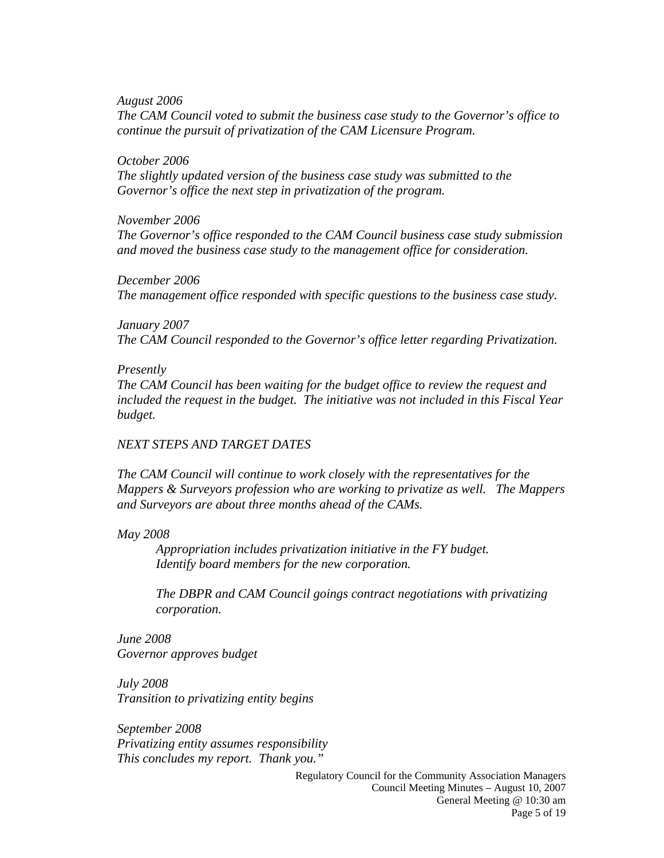*August 2006 The CAM Council voted to submit the business case study to the Governor's office to continue the pursuit of privatization of the CAM Licensure Program.* 

#### *October 2006*

*The slightly updated version of the business case study was submitted to the Governor's office the next step in privatization of the program.* 

#### *November 2006*

*The Governor's office responded to the CAM Council business case study submission and moved the business case study to the management office for consideration.* 

*December 2006 The management office responded with specific questions to the business case study.* 

*January 2007 The CAM Council responded to the Governor's office letter regarding Privatization.* 

#### *Presently*

*The CAM Council has been waiting for the budget office to review the request and included the request in the budget. The initiative was not included in this Fiscal Year budget.* 

#### *NEXT STEPS AND TARGET DATES*

*The CAM Council will continue to work closely with the representatives for the Mappers & Surveyors profession who are working to privatize as well. The Mappers and Surveyors are about three months ahead of the CAMs.* 

*May 2008* 

 *Appropriation includes privatization initiative in the FY budget. Identify board members for the new corporation.* 

*The DBPR and CAM Council goings contract negotiations with privatizing corporation.* 

*June 2008 Governor approves budget* 

*July 2008 Transition to privatizing entity begins* 

*September 2008 Privatizing entity assumes responsibility This concludes my report. Thank you."*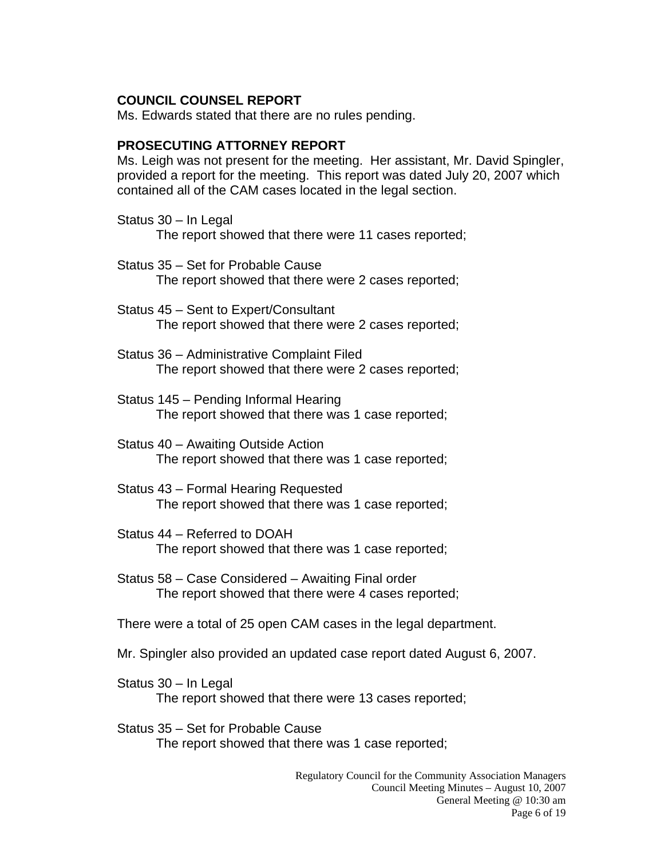### **COUNCIL COUNSEL REPORT**

Ms. Edwards stated that there are no rules pending.

### **PROSECUTING ATTORNEY REPORT**

Ms. Leigh was not present for the meeting. Her assistant, Mr. David Spingler, provided a report for the meeting. This report was dated July 20, 2007 which contained all of the CAM cases located in the legal section.

- Status 30 In Legal The report showed that there were 11 cases reported;
- Status 35 Set for Probable Cause The report showed that there were 2 cases reported;
- Status 45 Sent to Expert/Consultant The report showed that there were 2 cases reported;
- Status 36 Administrative Complaint Filed The report showed that there were 2 cases reported;
- Status 145 Pending Informal Hearing The report showed that there was 1 case reported;
- Status 40 Awaiting Outside Action The report showed that there was 1 case reported;
- Status 43 Formal Hearing Requested The report showed that there was 1 case reported;
- Status 44 Referred to DOAH The report showed that there was 1 case reported;
- Status 58 Case Considered Awaiting Final order The report showed that there were 4 cases reported;

There were a total of 25 open CAM cases in the legal department.

- Mr. Spingler also provided an updated case report dated August 6, 2007.
- Status 30 In Legal The report showed that there were 13 cases reported;
- Status 35 Set for Probable Cause The report showed that there was 1 case reported;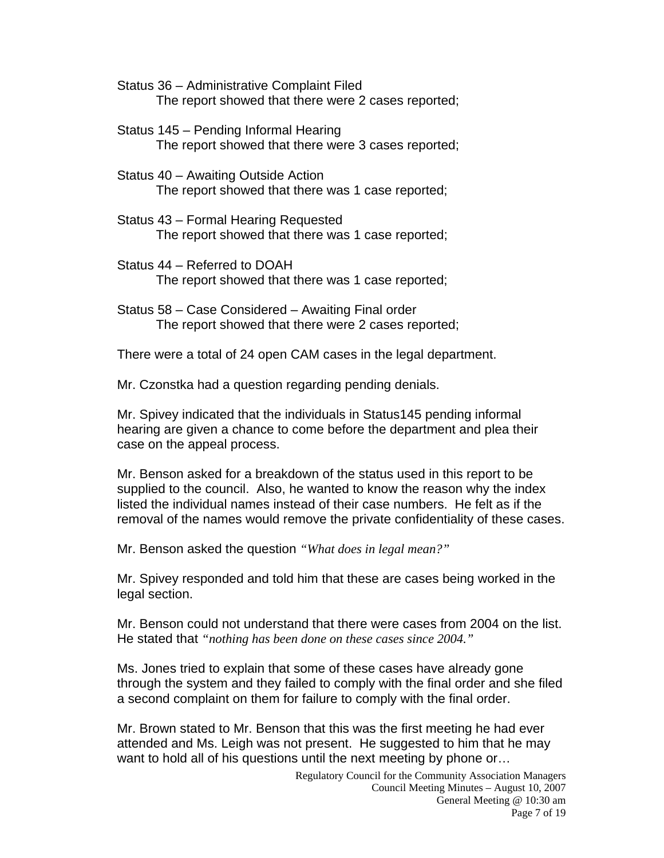- Status 36 Administrative Complaint Filed The report showed that there were 2 cases reported;
- Status 145 Pending Informal Hearing The report showed that there were 3 cases reported;
- Status 40 Awaiting Outside Action The report showed that there was 1 case reported;
- Status 43 Formal Hearing Requested The report showed that there was 1 case reported;
- Status 44 Referred to DOAH The report showed that there was 1 case reported;
- Status 58 Case Considered Awaiting Final order The report showed that there were 2 cases reported;

There were a total of 24 open CAM cases in the legal department.

Mr. Czonstka had a question regarding pending denials.

Mr. Spivey indicated that the individuals in Status145 pending informal hearing are given a chance to come before the department and plea their case on the appeal process.

Mr. Benson asked for a breakdown of the status used in this report to be supplied to the council. Also, he wanted to know the reason why the index listed the individual names instead of their case numbers. He felt as if the removal of the names would remove the private confidentiality of these cases.

Mr. Benson asked the question *"What does in legal mean?"* 

Mr. Spivey responded and told him that these are cases being worked in the legal section.

Mr. Benson could not understand that there were cases from 2004 on the list. He stated that *"nothing has been done on these cases since 2004."*

Ms. Jones tried to explain that some of these cases have already gone through the system and they failed to comply with the final order and she filed a second complaint on them for failure to comply with the final order.

Mr. Brown stated to Mr. Benson that this was the first meeting he had ever attended and Ms. Leigh was not present. He suggested to him that he may want to hold all of his questions until the next meeting by phone or…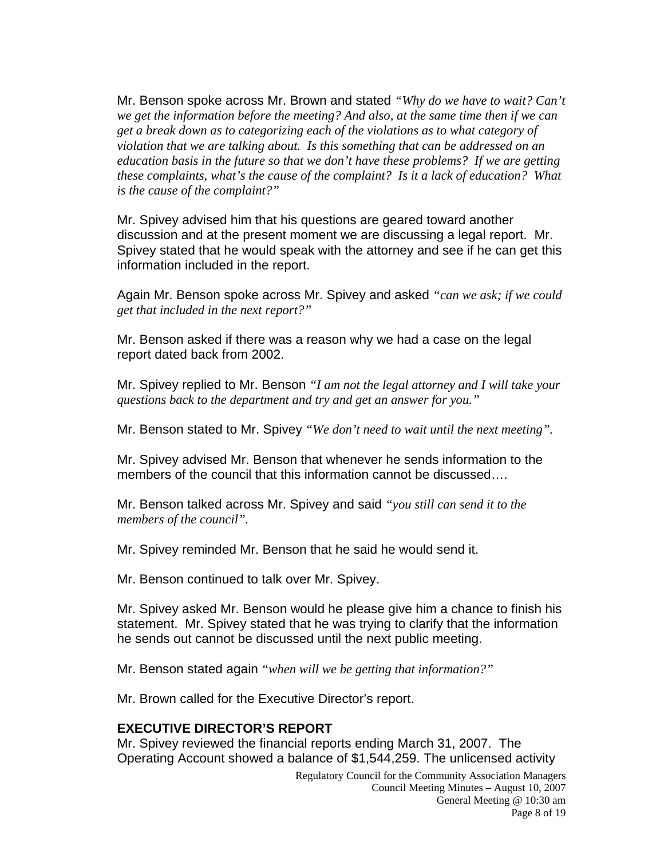Mr. Benson spoke across Mr. Brown and stated *"Why do we have to wait? Can't we get the information before the meeting? And also, at the same time then if we can get a break down as to categorizing each of the violations as to what category of violation that we are talking about. Is this something that can be addressed on an education basis in the future so that we don't have these problems? If we are getting these complaints, what's the cause of the complaint? Is it a lack of education? What is the cause of the complaint?"* 

Mr. Spivey advised him that his questions are geared toward another discussion and at the present moment we are discussing a legal report. Mr. Spivey stated that he would speak with the attorney and see if he can get this information included in the report.

Again Mr. Benson spoke across Mr. Spivey and asked *"can we ask; if we could get that included in the next report?"* 

Mr. Benson asked if there was a reason why we had a case on the legal report dated back from 2002.

Mr. Spivey replied to Mr. Benson *"I am not the legal attorney and I will take your questions back to the department and try and get an answer for you."*

Mr. Benson stated to Mr. Spivey *"We don't need to wait until the next meeting".* 

Mr. Spivey advised Mr. Benson that whenever he sends information to the members of the council that this information cannot be discussed….

Mr. Benson talked across Mr. Spivey and said *"you still can send it to the members of the council".*

Mr. Spivey reminded Mr. Benson that he said he would send it.

Mr. Benson continued to talk over Mr. Spivey.

Mr. Spivey asked Mr. Benson would he please give him a chance to finish his statement. Mr. Spivey stated that he was trying to clarify that the information he sends out cannot be discussed until the next public meeting.

Mr. Benson stated again *"when will we be getting that information?"*

Mr. Brown called for the Executive Director's report.

### **EXECUTIVE DIRECTOR'S REPORT**

Mr. Spivey reviewed the financial reports ending March 31, 2007. The Operating Account showed a balance of \$1,544,259. The unlicensed activity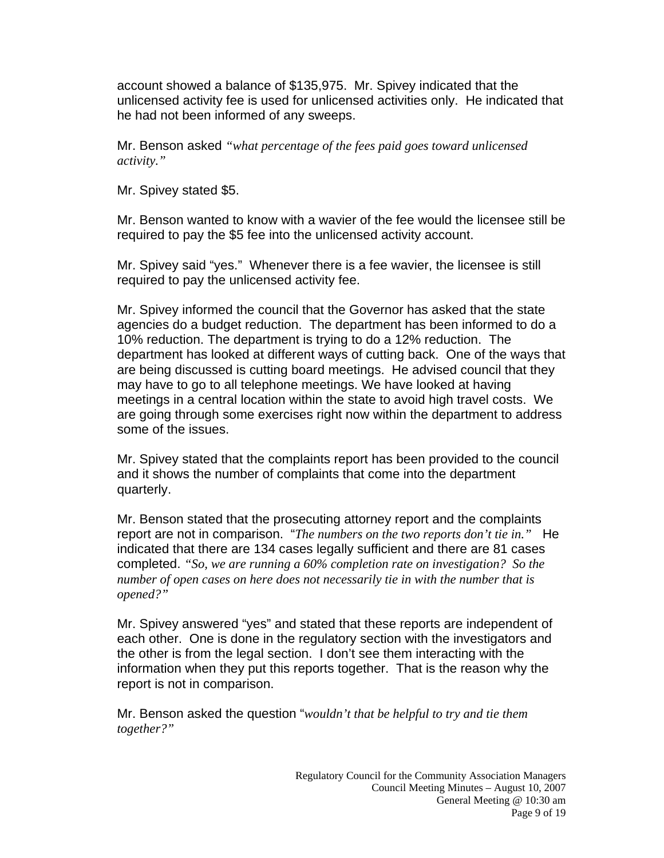account showed a balance of \$135,975. Mr. Spivey indicated that the unlicensed activity fee is used for unlicensed activities only. He indicated that he had not been informed of any sweeps.

Mr. Benson asked *"what percentage of the fees paid goes toward unlicensed activity."* 

Mr. Spivey stated \$5.

Mr. Benson wanted to know with a wavier of the fee would the licensee still be required to pay the \$5 fee into the unlicensed activity account.

Mr. Spivey said "yes." Whenever there is a fee wavier, the licensee is still required to pay the unlicensed activity fee.

Mr. Spivey informed the council that the Governor has asked that the state agencies do a budget reduction. The department has been informed to do a 10% reduction. The department is trying to do a 12% reduction. The department has looked at different ways of cutting back. One of the ways that are being discussed is cutting board meetings. He advised council that they may have to go to all telephone meetings. We have looked at having meetings in a central location within the state to avoid high travel costs. We are going through some exercises right now within the department to address some of the issues.

Mr. Spivey stated that the complaints report has been provided to the council and it shows the number of complaints that come into the department quarterly.

Mr. Benson stated that the prosecuting attorney report and the complaints report are not in comparison. "*The numbers on the two reports don't tie in."* He indicated that there are 134 cases legally sufficient and there are 81 cases completed. *"So, we are running a 60% completion rate on investigation? So the number of open cases on here does not necessarily tie in with the number that is opened?"* 

Mr. Spivey answered "yes" and stated that these reports are independent of each other. One is done in the regulatory section with the investigators and the other is from the legal section. I don't see them interacting with the information when they put this reports together. That is the reason why the report is not in comparison.

Mr. Benson asked the question "*wouldn't that be helpful to try and tie them together?"*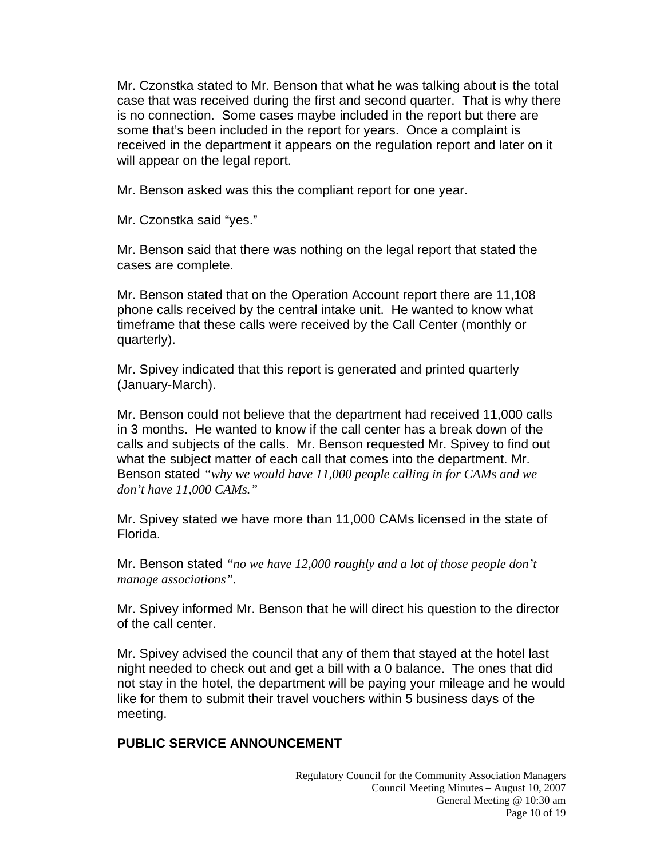Mr. Czonstka stated to Mr. Benson that what he was talking about is the total case that was received during the first and second quarter. That is why there is no connection. Some cases maybe included in the report but there are some that's been included in the report for years. Once a complaint is received in the department it appears on the regulation report and later on it will appear on the legal report.

Mr. Benson asked was this the compliant report for one year.

Mr. Czonstka said "yes."

Mr. Benson said that there was nothing on the legal report that stated the cases are complete.

Mr. Benson stated that on the Operation Account report there are 11,108 phone calls received by the central intake unit. He wanted to know what timeframe that these calls were received by the Call Center (monthly or quarterly).

Mr. Spivey indicated that this report is generated and printed quarterly (January-March).

Mr. Benson could not believe that the department had received 11,000 calls in 3 months. He wanted to know if the call center has a break down of the calls and subjects of the calls. Mr. Benson requested Mr. Spivey to find out what the subject matter of each call that comes into the department. Mr. Benson stated *"why we would have 11,000 people calling in for CAMs and we don't have 11,000 CAMs."*

Mr. Spivey stated we have more than 11,000 CAMs licensed in the state of Florida.

Mr. Benson stated *"no we have 12,000 roughly and a lot of those people don't manage associations".*

Mr. Spivey informed Mr. Benson that he will direct his question to the director of the call center.

Mr. Spivey advised the council that any of them that stayed at the hotel last night needed to check out and get a bill with a 0 balance. The ones that did not stay in the hotel, the department will be paying your mileage and he would like for them to submit their travel vouchers within 5 business days of the meeting.

# **PUBLIC SERVICE ANNOUNCEMENT**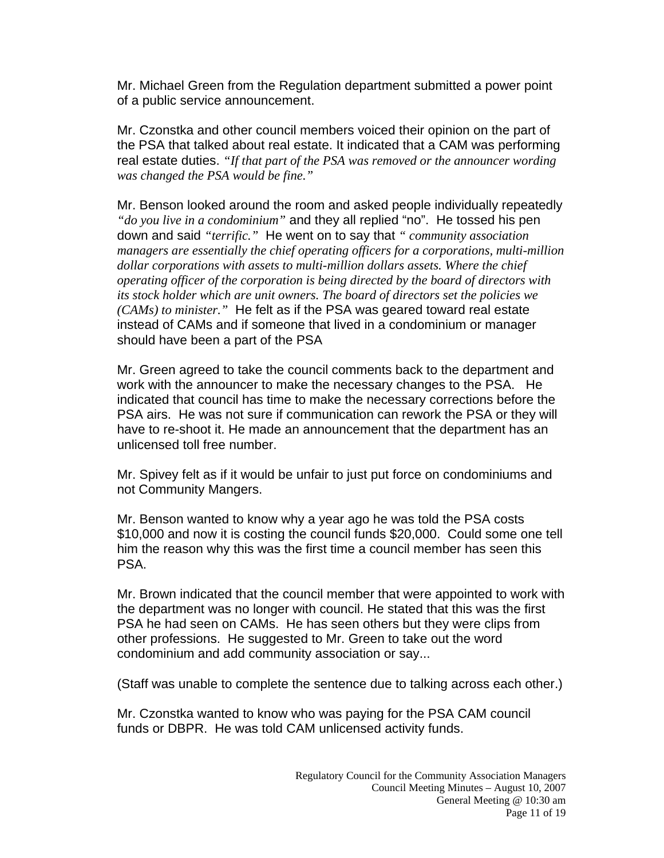Mr. Michael Green from the Regulation department submitted a power point of a public service announcement.

Mr. Czonstka and other council members voiced their opinion on the part of the PSA that talked about real estate. It indicated that a CAM was performing real estate duties. *"If that part of the PSA was removed or the announcer wording was changed the PSA would be fine."* 

Mr. Benson looked around the room and asked people individually repeatedly *"do you live in a condominium"* and they all replied "no". He tossed his pen down and said *"terrific."* He went on to say that *" community association managers are essentially the chief operating officers for a corporations, multi-million dollar corporations with assets to multi-million dollars assets. Where the chief operating officer of the corporation is being directed by the board of directors with its stock holder which are unit owners. The board of directors set the policies we (CAMs) to minister."* He felt as if the PSA was geared toward real estate instead of CAMs and if someone that lived in a condominium or manager should have been a part of the PSA

Mr. Green agreed to take the council comments back to the department and work with the announcer to make the necessary changes to the PSA. He indicated that council has time to make the necessary corrections before the PSA airs. He was not sure if communication can rework the PSA or they will have to re-shoot it. He made an announcement that the department has an unlicensed toll free number.

Mr. Spivey felt as if it would be unfair to just put force on condominiums and not Community Mangers.

Mr. Benson wanted to know why a year ago he was told the PSA costs \$10,000 and now it is costing the council funds \$20,000. Could some one tell him the reason why this was the first time a council member has seen this PSA.

Mr. Brown indicated that the council member that were appointed to work with the department was no longer with council. He stated that this was the first PSA he had seen on CAMs. He has seen others but they were clips from other professions. He suggested to Mr. Green to take out the word condominium and add community association or say...

(Staff was unable to complete the sentence due to talking across each other.)

Mr. Czonstka wanted to know who was paying for the PSA CAM council funds or DBPR. He was told CAM unlicensed activity funds.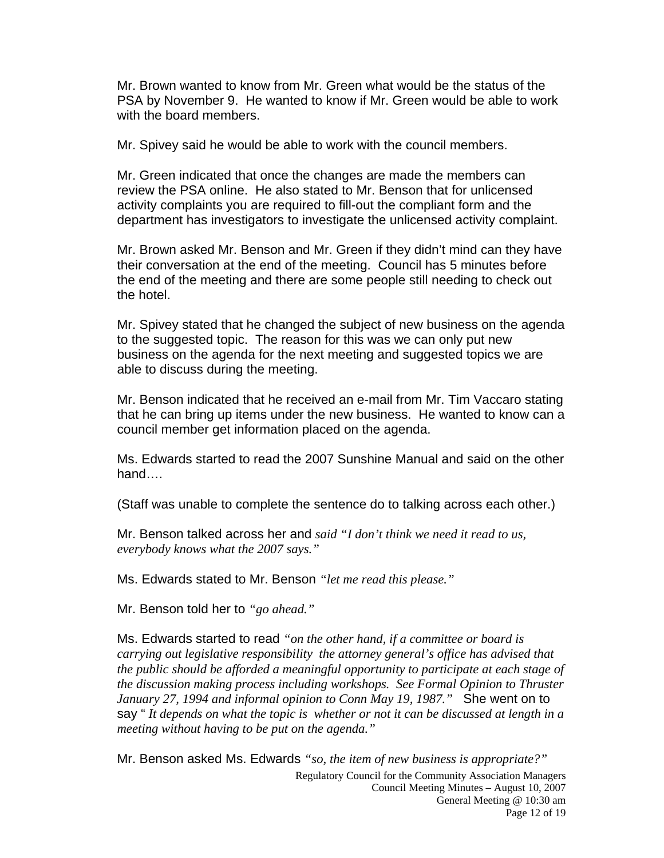Mr. Brown wanted to know from Mr. Green what would be the status of the PSA by November 9. He wanted to know if Mr. Green would be able to work with the board members.

Mr. Spivey said he would be able to work with the council members.

Mr. Green indicated that once the changes are made the members can review the PSA online. He also stated to Mr. Benson that for unlicensed activity complaints you are required to fill-out the compliant form and the department has investigators to investigate the unlicensed activity complaint.

Mr. Brown asked Mr. Benson and Mr. Green if they didn't mind can they have their conversation at the end of the meeting. Council has 5 minutes before the end of the meeting and there are some people still needing to check out the hotel.

Mr. Spivey stated that he changed the subject of new business on the agenda to the suggested topic. The reason for this was we can only put new business on the agenda for the next meeting and suggested topics we are able to discuss during the meeting.

Mr. Benson indicated that he received an e-mail from Mr. Tim Vaccaro stating that he can bring up items under the new business. He wanted to know can a council member get information placed on the agenda.

Ms. Edwards started to read the 2007 Sunshine Manual and said on the other hand….

(Staff was unable to complete the sentence do to talking across each other.)

Mr. Benson talked across her and *said "I don't think we need it read to us, everybody knows what the 2007 says."* 

Ms. Edwards stated to Mr. Benson *"let me read this please."*

Mr. Benson told her to *"go ahead."*

Ms. Edwards started to read *"on the other hand, if a committee or board is carrying out legislative responsibility the attorney general's office has advised that the public should be afforded a meaningful opportunity to participate at each stage of the discussion making process including workshops. See Formal Opinion to Thruster January 27, 1994 and informal opinion to Conn May 19, 1987."* She went on to say " *It depends on what the topic is whether or not it can be discussed at length in a meeting without having to be put on the agenda."* 

Mr. Benson asked Ms. Edwards *"so, the item of new business is appropriate?"*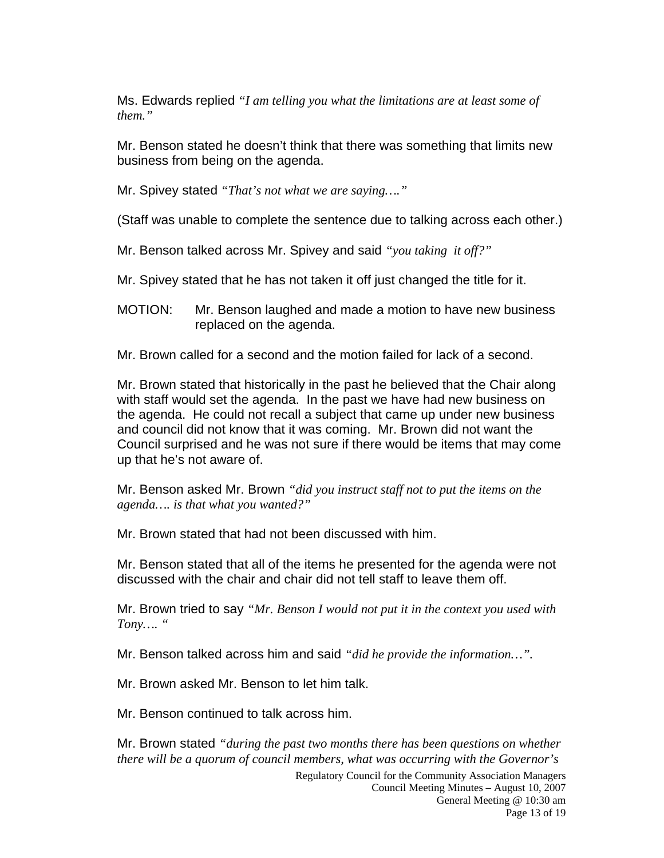Ms. Edwards replied *"I am telling you what the limitations are at least some of them."*

Mr. Benson stated he doesn't think that there was something that limits new business from being on the agenda.

Mr. Spivey stated *"That's not what we are saying…."* 

(Staff was unable to complete the sentence due to talking across each other.)

Mr. Benson talked across Mr. Spivey and said *"you taking it off?"* 

Mr. Spivey stated that he has not taken it off just changed the title for it.

MOTION: Mr. Benson laughed and made a motion to have new business replaced on the agenda.

Mr. Brown called for a second and the motion failed for lack of a second.

Mr. Brown stated that historically in the past he believed that the Chair along with staff would set the agenda. In the past we have had new business on the agenda. He could not recall a subject that came up under new business and council did not know that it was coming. Mr. Brown did not want the Council surprised and he was not sure if there would be items that may come up that he's not aware of.

Mr. Benson asked Mr. Brown *"did you instruct staff not to put the items on the agenda…. is that what you wanted?"* 

Mr. Brown stated that had not been discussed with him.

Mr. Benson stated that all of the items he presented for the agenda were not discussed with the chair and chair did not tell staff to leave them off.

Mr. Brown tried to say *"Mr. Benson I would not put it in the context you used with Tony…. "* 

Mr. Benson talked across him and said *"did he provide the information…".*

Mr. Brown asked Mr. Benson to let him talk.

Mr. Benson continued to talk across him.

Mr. Brown stated *"during the past two months there has been questions on whether there will be a quorum of council members, what was occurring with the Governor's*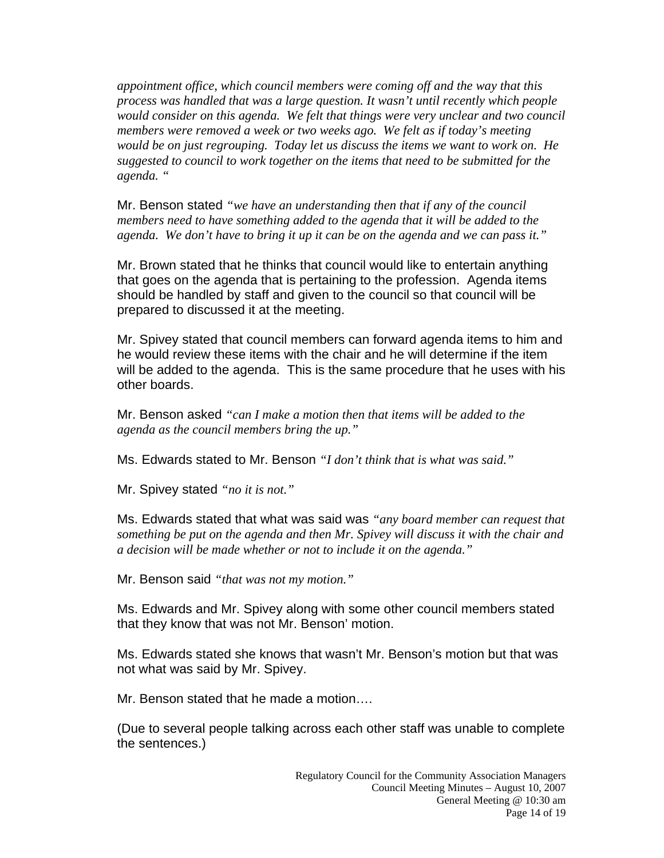*appointment office, which council members were coming off and the way that this process was handled that was a large question. It wasn't until recently which people would consider on this agenda. We felt that things were very unclear and two council members were removed a week or two weeks ago. We felt as if today's meeting would be on just regrouping. Today let us discuss the items we want to work on. He suggested to council to work together on the items that need to be submitted for the agenda. "* 

Mr. Benson stated *"we have an understanding then that if any of the council members need to have something added to the agenda that it will be added to the agenda. We don't have to bring it up it can be on the agenda and we can pass it."* 

Mr. Brown stated that he thinks that council would like to entertain anything that goes on the agenda that is pertaining to the profession. Agenda items should be handled by staff and given to the council so that council will be prepared to discussed it at the meeting.

Mr. Spivey stated that council members can forward agenda items to him and he would review these items with the chair and he will determine if the item will be added to the agenda. This is the same procedure that he uses with his other boards.

Mr. Benson asked *"can I make a motion then that items will be added to the agenda as the council members bring the up."* 

Ms. Edwards stated to Mr. Benson *"I don't think that is what was said."* 

Mr. Spivey stated *"no it is not."*

Ms. Edwards stated that what was said was *"any board member can request that something be put on the agenda and then Mr. Spivey will discuss it with the chair and a decision will be made whether or not to include it on the agenda."* 

Mr. Benson said *"that was not my motion."*

Ms. Edwards and Mr. Spivey along with some other council members stated that they know that was not Mr. Benson' motion.

Ms. Edwards stated she knows that wasn't Mr. Benson's motion but that was not what was said by Mr. Spivey.

Mr. Benson stated that he made a motion….

(Due to several people talking across each other staff was unable to complete the sentences.)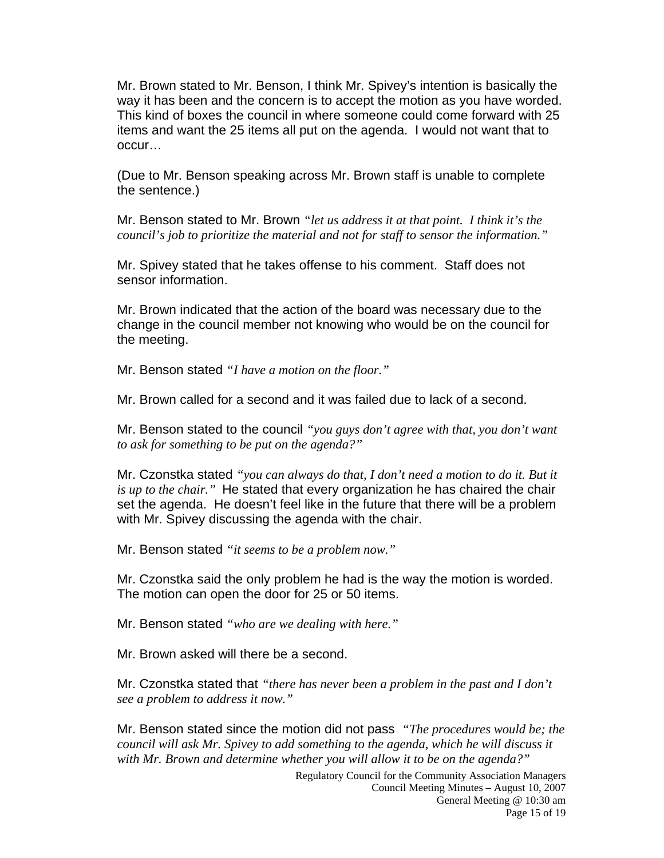Mr. Brown stated to Mr. Benson, I think Mr. Spivey's intention is basically the way it has been and the concern is to accept the motion as you have worded. This kind of boxes the council in where someone could come forward with 25 items and want the 25 items all put on the agenda. I would not want that to occur…

(Due to Mr. Benson speaking across Mr. Brown staff is unable to complete the sentence.)

Mr. Benson stated to Mr. Brown *"let us address it at that point. I think it's the council's job to prioritize the material and not for staff to sensor the information."* 

Mr. Spivey stated that he takes offense to his comment. Staff does not sensor information.

Mr. Brown indicated that the action of the board was necessary due to the change in the council member not knowing who would be on the council for the meeting.

Mr. Benson stated *"I have a motion on the floor."*

Mr. Brown called for a second and it was failed due to lack of a second.

Mr. Benson stated to the council *"you guys don't agree with that, you don't want to ask for something to be put on the agenda?"* 

Mr. Czonstka stated *"you can always do that, I don't need a motion to do it. But it is up to the chair."* He stated that every organization he has chaired the chair set the agenda. He doesn't feel like in the future that there will be a problem with Mr. Spivey discussing the agenda with the chair.

Mr. Benson stated *"it seems to be a problem now."*

Mr. Czonstka said the only problem he had is the way the motion is worded. The motion can open the door for 25 or 50 items.

Mr. Benson stated *"who are we dealing with here."*

Mr. Brown asked will there be a second.

Mr. Czonstka stated that *"there has never been a problem in the past and I don't see a problem to address it now."* 

Mr. Benson stated since the motion did not pass *"The procedures would be; the council will ask Mr. Spivey to add something to the agenda, which he will discuss it with Mr. Brown and determine whether you will allow it to be on the agenda?"*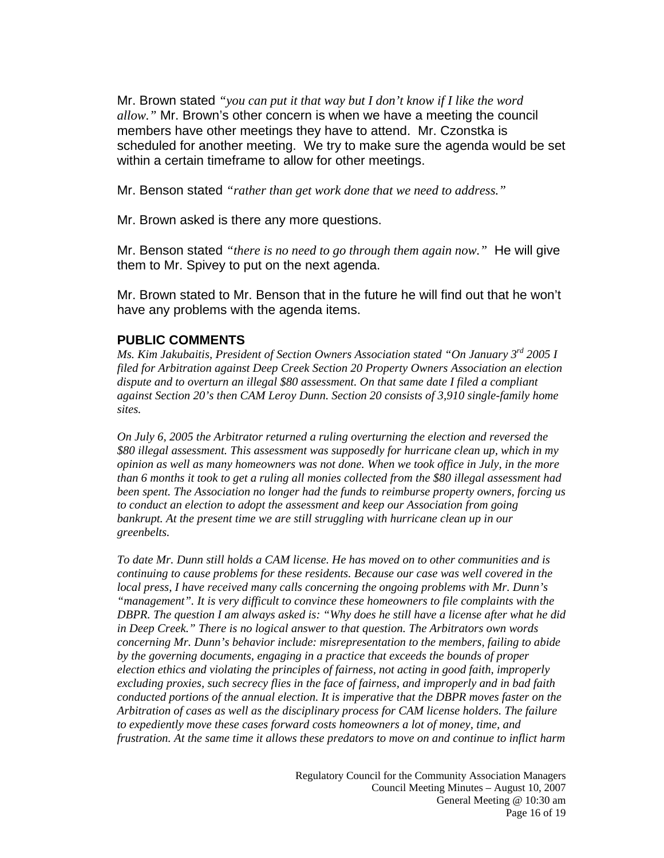Mr. Brown stated *"you can put it that way but I don't know if I like the word allow."* Mr. Brown's other concern is when we have a meeting the council members have other meetings they have to attend. Mr. Czonstka is scheduled for another meeting. We try to make sure the agenda would be set within a certain timeframe to allow for other meetings.

Mr. Benson stated *"rather than get work done that we need to address."*

Mr. Brown asked is there any more questions.

Mr. Benson stated *"there is no need to go through them again now."* He will give them to Mr. Spivey to put on the next agenda.

Mr. Brown stated to Mr. Benson that in the future he will find out that he won't have any problems with the agenda items.

### **PUBLIC COMMENTS**

*Ms. Kim Jakubaitis, President of Section Owners Association stated "On January 3rd 2005 I filed for Arbitration against Deep Creek Section 20 Property Owners Association an election dispute and to overturn an illegal \$80 assessment. On that same date I filed a compliant against Section 20's then CAM Leroy Dunn. Section 20 consists of 3,910 single-family home sites.* 

*On July 6, 2005 the Arbitrator returned a ruling overturning the election and reversed the \$80 illegal assessment. This assessment was supposedly for hurricane clean up, which in my opinion as well as many homeowners was not done. When we took office in July, in the more than 6 months it took to get a ruling all monies collected from the \$80 illegal assessment had been spent. The Association no longer had the funds to reimburse property owners, forcing us to conduct an election to adopt the assessment and keep our Association from going*  bankrupt. At the present time we are still struggling with hurricane clean up in our *greenbelts.* 

*To date Mr. Dunn still holds a CAM license. He has moved on to other communities and is continuing to cause problems for these residents. Because our case was well covered in the local press, I have received many calls concerning the ongoing problems with Mr. Dunn's "management". It is very difficult to convince these homeowners to file complaints with the DBPR. The question I am always asked is: "Why does he still have a license after what he did in Deep Creek." There is no logical answer to that question. The Arbitrators own words concerning Mr. Dunn's behavior include: misrepresentation to the members, failing to abide by the governing documents, engaging in a practice that exceeds the bounds of proper election ethics and violating the principles of fairness, not acting in good faith, improperly excluding proxies, such secrecy flies in the face of fairness, and improperly and in bad faith conducted portions of the annual election. It is imperative that the DBPR moves faster on the Arbitration of cases as well as the disciplinary process for CAM license holders. The failure to expediently move these cases forward costs homeowners a lot of money, time, and frustration. At the same time it allows these predators to move on and continue to inflict harm*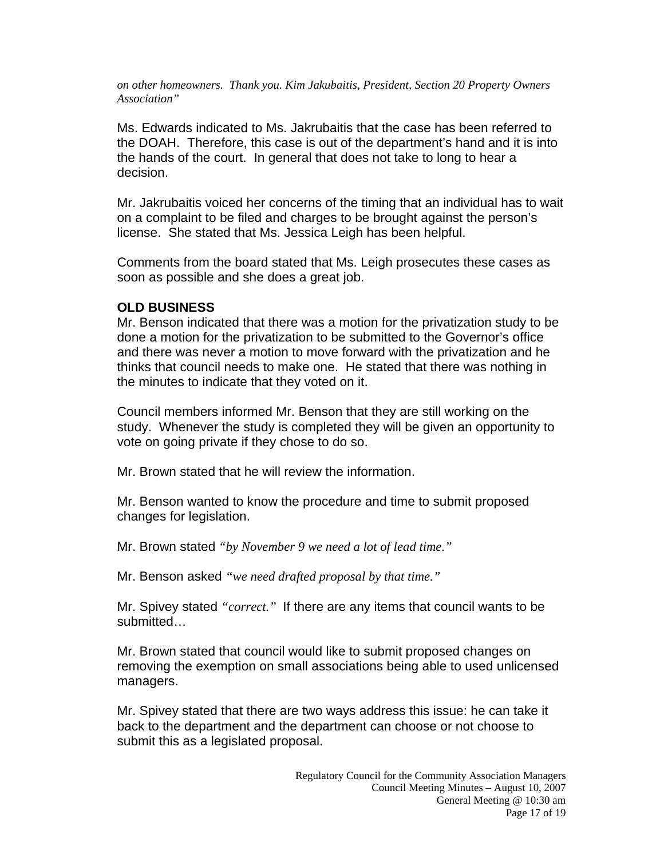*on other homeowners. Thank you. Kim Jakubaitis, President, Section 20 Property Owners Association"* 

Ms. Edwards indicated to Ms. Jakrubaitis that the case has been referred to the DOAH. Therefore, this case is out of the department's hand and it is into the hands of the court. In general that does not take to long to hear a decision.

Mr. Jakrubaitis voiced her concerns of the timing that an individual has to wait on a complaint to be filed and charges to be brought against the person's license. She stated that Ms. Jessica Leigh has been helpful.

Comments from the board stated that Ms. Leigh prosecutes these cases as soon as possible and she does a great job.

### **OLD BUSINESS**

Mr. Benson indicated that there was a motion for the privatization study to be done a motion for the privatization to be submitted to the Governor's office and there was never a motion to move forward with the privatization and he thinks that council needs to make one. He stated that there was nothing in the minutes to indicate that they voted on it.

Council members informed Mr. Benson that they are still working on the study. Whenever the study is completed they will be given an opportunity to vote on going private if they chose to do so.

Mr. Brown stated that he will review the information.

Mr. Benson wanted to know the procedure and time to submit proposed changes for legislation.

Mr. Brown stated *"by November 9 we need a lot of lead time."*

Mr. Benson asked *"we need drafted proposal by that time."*

Mr. Spivey stated *"correct."* If there are any items that council wants to be submitted…

Mr. Brown stated that council would like to submit proposed changes on removing the exemption on small associations being able to used unlicensed managers.

Mr. Spivey stated that there are two ways address this issue: he can take it back to the department and the department can choose or not choose to submit this as a legislated proposal.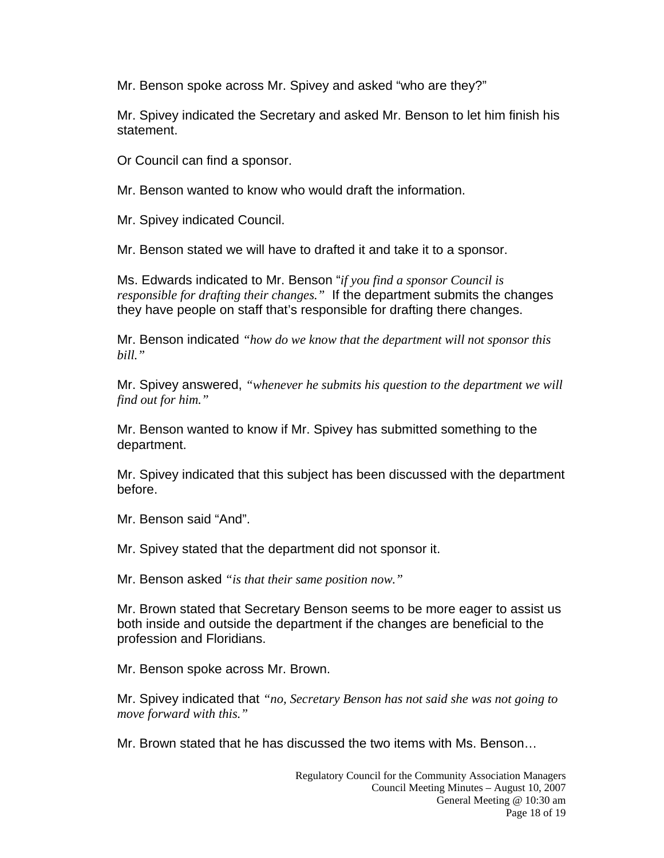Mr. Benson spoke across Mr. Spivey and asked "who are they?"

Mr. Spivey indicated the Secretary and asked Mr. Benson to let him finish his statement.

Or Council can find a sponsor.

Mr. Benson wanted to know who would draft the information.

Mr. Spivey indicated Council.

Mr. Benson stated we will have to drafted it and take it to a sponsor.

Ms. Edwards indicated to Mr. Benson "*if you find a sponsor Council is responsible for drafting their changes."* If the department submits the changes they have people on staff that's responsible for drafting there changes.

Mr. Benson indicated *"how do we know that the department will not sponsor this bill."* 

Mr. Spivey answered, *"whenever he submits his question to the department we will find out for him."* 

Mr. Benson wanted to know if Mr. Spivey has submitted something to the department.

Mr. Spivey indicated that this subject has been discussed with the department before.

Mr. Benson said "And".

Mr. Spivey stated that the department did not sponsor it.

Mr. Benson asked *"is that their same position now."* 

Mr. Brown stated that Secretary Benson seems to be more eager to assist us both inside and outside the department if the changes are beneficial to the profession and Floridians.

Mr. Benson spoke across Mr. Brown.

Mr. Spivey indicated that *"no, Secretary Benson has not said she was not going to move forward with this."* 

Mr. Brown stated that he has discussed the two items with Ms. Benson…